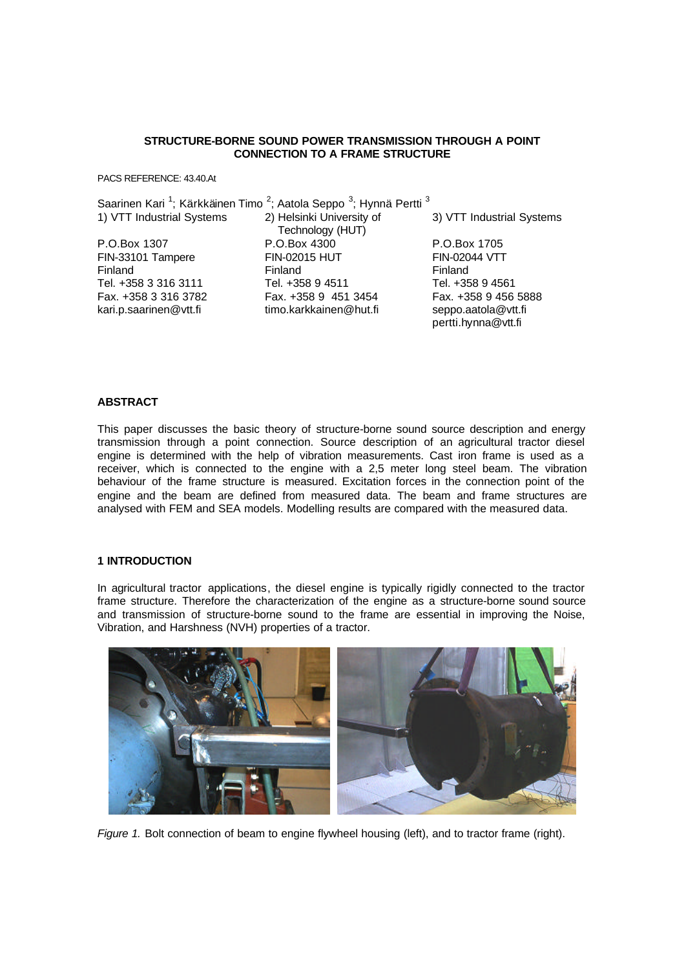### **STRUCTURE-BORNE SOUND POWER TRANSMISSION THROUGH A POINT CONNECTION TO A FRAME STRUCTURE**

PACS REFERENCE: 43.40.At

|                           | Saarinen Kari <sup>1</sup> ; Kärkkäinen Timo <sup>2</sup> ; Aatola Seppo <sup>3</sup> ; Hynnä Pertti <sup>3</sup> |                                            |
|---------------------------|-------------------------------------------------------------------------------------------------------------------|--------------------------------------------|
| 1) VTT Industrial Systems | 2) Helsinki University of<br>Technology (HUT)                                                                     | 3) VTT Industrial Systems                  |
| P.O.Box 1307              | P.O.Box 4300                                                                                                      | P.O.Box 1705                               |
| FIN-33101 Tampere         | <b>FIN-02015 HUT</b>                                                                                              | <b>FIN-02044 VTT</b>                       |
| Finland                   | Finland                                                                                                           | Finland                                    |
| Tel. +358 3 316 3111      | Tel. +358 9 4511                                                                                                  | Tel. +358 9 4561                           |
| Fax. +358 3 316 3782      | Fax. +358 9 451 3454                                                                                              | Fax. +358 9 456 5888                       |
| kari.p.saarinen@vtt.fi    | timo.karkkainen@hut.fi                                                                                            | seppo.aatola@vtt.fi<br>pertti.hynna@vtt.fi |

## **ABSTRACT**

This paper discusses the basic theory of structure-borne sound source description and energy transmission through a point connection. Source description of an agricultural tractor diesel engine is determined with the help of vibration measurements. Cast iron frame is used as a receiver, which is connected to the engine with a 2,5 meter long steel beam. The vibration behaviour of the frame structure is measured. Excitation forces in the connection point of the engine and the beam are defined from measured data. The beam and frame structures are analysed with FEM and SEA models. Modelling results are compared with the measured data.

# **1 INTRODUCTION**

In agricultural tractor applications, the diesel engine is typically rigidly connected to the tractor frame structure. Therefore the characterization of the engine as a structure-borne sound source and transmission of structure-borne sound to the frame are essential in improving the Noise, Vibration, and Harshness (NVH) properties of a tractor.



*Figure 1.* Bolt connection of beam to engine flywheel housing (left), and to tractor frame (right).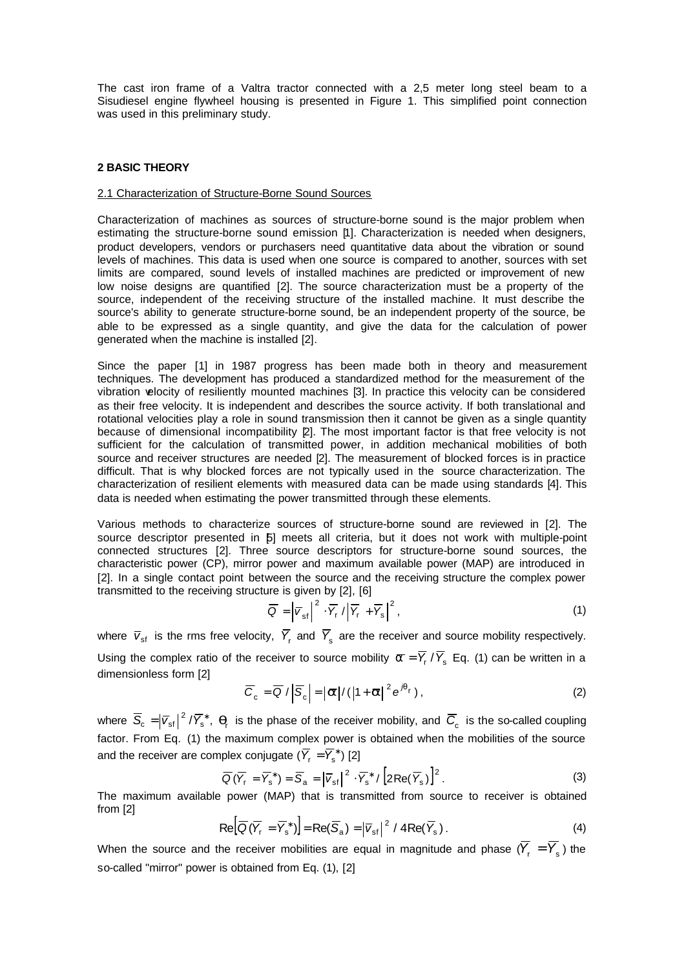The cast iron frame of a Valtra tractor connected with a 2,5 meter long steel beam to a Sisudiesel engine flywheel housing is presented in Figure 1. This simplified point connection was used in this preliminary study.

### **2 BASIC THEORY**

#### 2.1 Characterization of Structure-Borne Sound Sources

Characterization of machines as sources of structure-borne sound is the major problem when estimating the structure-borne sound emission [1]. Characterization is needed when designers, product developers, vendors or purchasers need quantitative data about the vibration or sound levels of machines. This data is used when one source is compared to another, sources with set limits are compared, sound levels of installed machines are predicted or improvement of new low noise designs are quantified [2]. The source characterization must be a property of the source, independent of the receiving structure of the installed machine. It must describe the source's ability to generate structure-borne sound, be an independent property of the source, be able to be expressed as a single quantity, and give the data for the calculation of power generated when the machine is installed [2].

Since the paper [1] in 1987 progress has been made both in theory and measurement techniques. The development has produced a standardized method for the measurement of the vibration velocity of resiliently mounted machines [3]. In practice this velocity can be considered as their free velocity. It is independent and describes the source activity. If both translational and rotational velocities play a role in sound transmission then it cannot be given as a single quantity because of dimensional incompatibility [2]. The most important factor is that free velocity is not sufficient for the calculation of transmitted power, in addition mechanical mobilities of both source and receiver structures are needed [2]. The measurement of blocked forces is in practice difficult. That is why blocked forces are not typically used in the source characterization. The characterization of resilient elements with measured data can be made using standards [4]. This data is needed when estimating the power transmitted through these elements.

Various methods to characterize sources of structure-borne sound are reviewed in [2]. The source descriptor presented in  $5$ ] meets all criteria, but it does not work with multiple-point connected structures [2]. Three source descriptors for structure-borne sound sources, the characteristic power (CP), mirror power and maximum available power (MAP) are introduced in [2]. In a single contact point between the source and the receiving structure the complex power transmitted to the receiving structure is given by [2], [6]

$$
\overline{Q} = \left| \overline{V}_{\text{sf}} \right|^2 \cdot \overline{Y}_{\text{r}} / \left| \overline{Y}_{\text{r}} + \overline{Y}_{\text{s}} \right|^2, \tag{1}
$$

where  $\bar{v}_{\rm sf}$  is the rms free velocity,  $Y_{\rm r}$  and  $Y_{\rm s}$  are the receiver and source mobility respectively. Using the complex ratio of the receiver to source mobility  $\bar{a} = \bar{Y}$ ,  $/\bar{Y}$ , Eq. (1) can be written in a dimensionless form [2]

$$
\overline{C}_{\rm c} = \overline{Q} / \left| \overline{S}_{\rm c} \right| = \left| \overline{a} \right| / \left( \left| 1 + \overline{a} \right|^2 e^{i q_{\rm r}} \right), \tag{2}
$$

where  $\overline{S}_c = |\overline{V}_{sf}|^2/\overline{Y}_{s}^*$ ,  $\bm{q}_r$  is the phase of the receiver mobility, and  $\overline{C}_c$  is the so-called coupling factor. From Eq. (1) the maximum complex power is obtained when the mobilities of the source and the receiver are complex conjugate ( $\overline{Y}_{\!\mathsf{r}} = \overline{Y}^*_\mathsf{s}$  ) [2]

$$
\overline{Q}(\overline{Y}_r = \overline{Y}_s^*) = \overline{S}_a = |\overline{V}_{sf}|^2 \cdot \overline{Y}_s^* / [2Re(\overline{Y}_s)]^2.
$$
 (3)

The maximum available power (MAP) that is transmitted from source to receiver is obtained from [2]

$$
\operatorname{Re}\left[\overline{Q}(\overline{Y}_{r}=\overline{Y}_{s}^{*})\right]=\operatorname{Re}(\overline{S}_{a})=\left|\overline{V}_{st}\right|^{2}/4\operatorname{Re}(\overline{Y}_{s}).
$$
\n(4)

When the source and the receiver mobilities are equal in magnitude and phase  $(Y_{\text{r}} = Y_{\text{s}})$  the so-called "mirror" power is obtained from Eq. (1), [2]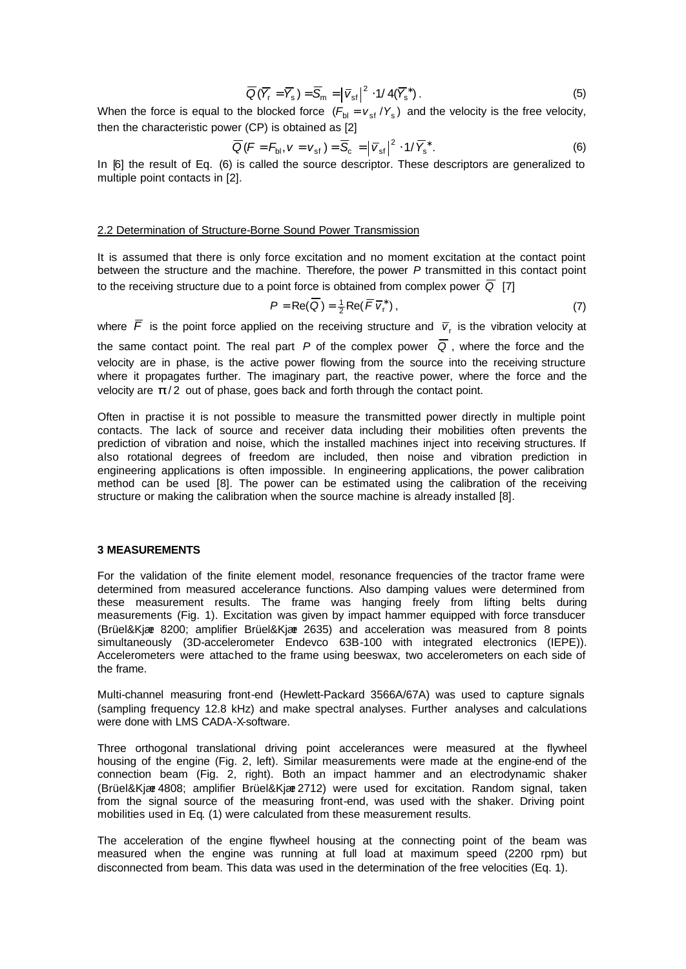$$
\overline{Q}(\overline{Y}_{r} = \overline{Y}_{s}) = \overline{S}_{m} = |\overline{V}_{sf}|^{2} \cdot 1/4(\overline{Y}_{s}^{*}).
$$
\n(5)

When the force is equal to the blocked force  $(F_{bl} = v_{sf}/Y_s)$  and the velocity is the free velocity, then the characteristic power (CP) is obtained as [2]

$$
\overline{Q}\left(F = F_{\text{bl}}, V = V_{\text{sf}}\right) = \overline{S}_{\text{c}} = \left|\overline{V}_{\text{sf}}\right|^2 \cdot 1/\overline{Y}_{\text{s}}^*.
$$
 (6)

In [6] the result of Eq. (6) is called the source descriptor. These descriptors are generalized to multiple point contacts in [2].

#### 2.2 Determination of Structure-Borne Sound Power Transmission

It is assumed that there is only force excitation and no moment excitation at the contact point between the structure and the machine. Therefore, the power *P* transmitted in this contact point to the receiving structure due to a point force is obtained from complex power  $\overline{Q}$  [7]

$$
P = \text{Re}(\overline{Q}) = \frac{1}{2}\text{Re}(\overline{F}\,\overline{V}_r^*)\,,\tag{7}
$$

where  $\bar{F}$  is the point force applied on the receiving structure and  $\bar{v}_{r}$  is the vibration velocity at the same contact point. The real part *P* of the complex power  $\overline{Q}$ , where the force and the velocity are in phase, is the active power flowing from the source into the receiving structure where it propagates further. The imaginary part, the reactive power, where the force and the velocity are  $p/2$  out of phase, goes back and forth through the contact point.

Often in practise it is not possible to measure the transmitted power directly in multiple point contacts. The lack of source and receiver data including their mobilities often prevents the prediction of vibration and noise, which the installed machines inject into receiving structures. If also rotational degrees of freedom are included, then noise and vibration prediction in engineering applications is often impossible. In engineering applications, the power calibration method can be used [8]. The power can be estimated using the calibration of the receiving structure or making the calibration when the source machine is already installed [8].

#### **3 MEASUREMENTS**

For the validation of the finite element model, resonance frequencies of the tractor frame were determined from measured accelerance functions. Also damping values were determined from these measurement results. The frame was hanging freely from lifting belts during measurements (Fig. 1). Excitation was given by impact hammer equipped with force transducer (Brüel&Kjær 8200; amplifier Brüel&Kjær 2635) and acceleration was measured from 8 points simultaneously (3D-accelerometer Endevco 63B-100 with integrated electronics (IEPE)). Accelerometers were attached to the frame using beeswax, two accelerometers on each side of the frame.

Multi-channel measuring front-end (Hewlett-Packard 3566A/67A) was used to capture signals (sampling frequency 12.8 kHz) and make spectral analyses. Further analyses and calculations were done with LMS CADA-X-software.

Three orthogonal translational driving point accelerances were measured at the flywheel housing of the engine (Fig. 2, left). Similar measurements were made at the engine-end of the connection beam (Fig. 2, right). Both an impact hammer and an electrodynamic shaker (Brüel&Kjær 4808; amplifier Brüel&Kjær 2712) were used for excitation. Random signal, taken from the signal source of the measuring front-end, was used with the shaker. Driving point mobilities used in Eq. (1) were calculated from these measurement results.

The acceleration of the engine flywheel housing at the connecting point of the beam was measured when the engine was running at full load at maximum speed (2200 rpm) but disconnected from beam. This data was used in the determination of the free velocities (Eq. 1).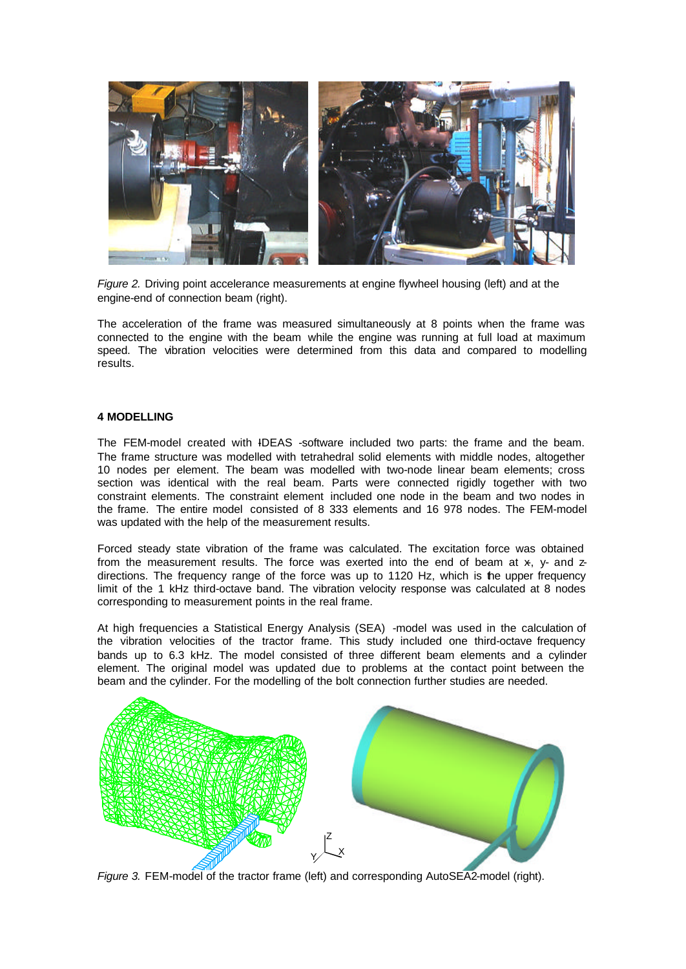

*Figure 2.* Driving point accelerance measurements at engine flywheel housing (left) and at the engine-end of connection beam (right).

The acceleration of the frame was measured simultaneously at 8 points when the frame was connected to the engine with the beam while the engine was running at full load at maximum speed. The vibration velocities were determined from this data and compared to modelling results.

## **4 MODELLING**

The FEM-model created with IDEAS -software included two parts: the frame and the beam. The frame structure was modelled with tetrahedral solid elements with middle nodes, altogether 10 nodes per element. The beam was modelled with two-node linear beam elements; cross section was identical with the real beam. Parts were connected rigidly together with two constraint elements. The constraint element included one node in the beam and two nodes in the frame. The entire model consisted of 8 333 elements and 16 978 nodes. The FEM-model was updated with the help of the measurement results.

Forced steady state vibration of the frame was calculated. The excitation force was obtained from the measurement results. The force was exerted into the end of beam at  $x$ , y- and  $z$ directions. The frequency range of the force was up to 1120 Hz, which is the upper frequency limit of the 1 kHz third-octave band. The vibration velocity response was calculated at 8 nodes corresponding to measurement points in the real frame.

At high frequencies a Statistical Energy Analysis (SEA) -model was used in the calculation of the vibration velocities of the tractor frame. This study included one third-octave frequency bands up to 6.3 kHz. The model consisted of three different beam elements and a cylinder element. The original model was updated due to problems at the contact point between the beam and the cylinder. For the modelling of the bolt connection further studies are needed.



*Figure 3.* FEM-model of the tractor frame (left) and corresponding AutoSEA2-model (right).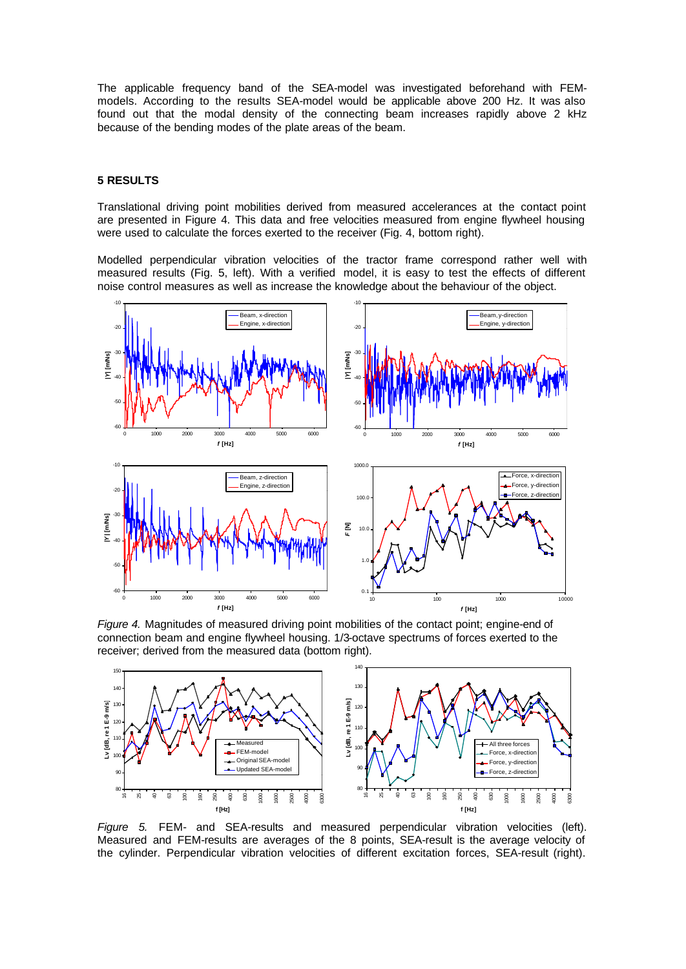The applicable frequency band of the SEA-model was investigated beforehand with FEMmodels. According to the results SEA-model would be applicable above 200 Hz. It was also found out that the modal density of the connecting beam increases rapidly above 2 kHz because of the bending modes of the plate areas of the beam.

### **5 RESULTS**

Translational driving point mobilities derived from measured accelerances at the contact point are presented in Figure 4. This data and free velocities measured from engine flywheel housing were used to calculate the forces exerted to the receiver (Fig. 4, bottom right).

Modelled perpendicular vibration velocities of the tractor frame correspond rather well with measured results (Fig. 5, left). With a verified model, it is easy to test the effects of different noise control measures as well as increase the knowledge about the behaviour of the object.



*Figure 4.* Magnitudes of measured driving point mobilities of the contact point; engine-end of connection beam and engine flywheel housing. 1/3-octave spectrums of forces exerted to the receiver; derived from the measured data (bottom right).



*Figure 5.* FEM- and SEA-results and measured perpendicular vibration velocities (left). Measured and FEM-results are averages of the 8 points, SEA-result is the average velocity of the cylinder. Perpendicular vibration velocities of different excitation forces, SEA-result (right).